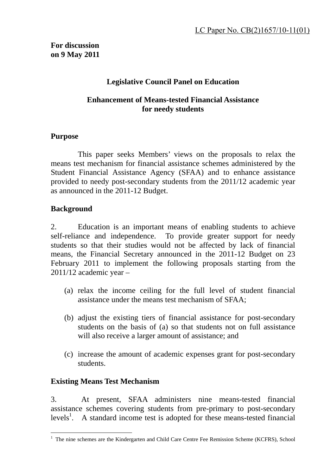# **Legislative Council Panel on Education**

### **Enhancement of Means-tested Financial Assistance for needy students**

### **Purpose**

 This paper seeks Members' views on the proposals to relax the means test mechanism for financial assistance schemes administered by the Student Financial Assistance Agency (SFAA) and to enhance assistance provided to needy post-secondary students from the 2011/12 academic year as announced in the 2011-12 Budget.

# **Background**

2. Education is an important means of enabling students to achieve self-reliance and independence. To provide greater support for needy students so that their studies would not be affected by lack of financial means, the Financial Secretary announced in the 2011-12 Budget on 23 February 2011 to implement the following proposals starting from the 2011/12 academic year –

- (a) relax the income ceiling for the full level of student financial assistance under the means test mechanism of SFAA;
- (b) adjust the existing tiers of financial assistance for post-secondary students on the basis of (a) so that students not on full assistance will also receive a larger amount of assistance; and
- (c) increase the amount of academic expenses grant for post-secondary students.

### **Existing Means Test Mechanism**

3. At present, SFAA administers nine means-tested financial assistance schemes covering students from pre-primary to post-secondary  $levels<sup>1</sup>$ . A standard income test is adopted for these means-tested financial

The nine schemes are the Kindergarten and Child Care Centre Fee Remission Scheme (KCFRS), School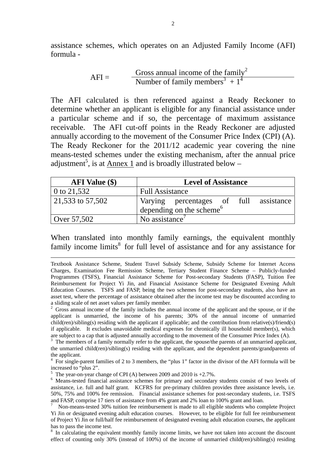assistance schemes, which operates on an Adjusted Family Income (AFI) formula -

$$
AFI = \frac{Gross annual income of the family2}{Number of family members3 + 14}
$$

The AFI calculated is then referenced against a Ready Reckoner to determine whether an applicant is eligible for any financial assistance under a particular scheme and if so, the percentage of maximum assistance receivable. The AFI cut-off points in the Ready Reckoner are adjusted annually according to the movement of the Consumer Price Index (CPI) (A). The Ready Reckoner for the 2011/12 academic year covering the nine means-tested schemes under the existing mechanism, after the annual price adjustment<sup>5</sup>, is at  $\Delta$ nnex 1 and is broadly illustrated below –

| <b>AFI</b> Value (\$) | <b>Level of Assistance</b>             |  |  |  |  |
|-----------------------|----------------------------------------|--|--|--|--|
| 0 to $21,532$         | <b>Full Assistance</b>                 |  |  |  |  |
| 21,533 to 57,502      | Varying percentages of full assistance |  |  |  |  |
|                       | depending on the scheme <sup>6</sup>   |  |  |  |  |
| Over $57,502$         | No assistance <sup>'</sup>             |  |  |  |  |

When translated into monthly family earnings, the equivalent monthly family income limits<sup>8</sup> for full level of assistance and for any assistance for

2 Gross annual income of the family includes the annual income of the applicant and the spouse, or if the applicant is unmarried, the income of his parents; 30% of the annual income of unmarried child(ren)/sibling(s) residing with the applicant if applicable; and the contribution from relative(s)/friend(s) if applicable. It excludes unavoidable medical expenses for chronically ill household member(s), which are subject to a cap that is adjusted annually according to the movement of the Consumer Price Index (A).

 $3$  The members of a family normally refer to the applicant, the spouse/the parents of an unmarried applicant, the unmarried child(ren)/sibling(s) residing with the applicant, and the dependent parents/grandparents of the applicant.

4 For single-parent families of 2 to 3 members, the "plus 1" factor in the divisor of the AFI formula will be increased to "plus 2".

<sup>5</sup> The year-on-year change of CPI (A) between 2009 and 2010 is  $+2.7\%$ .

<sup>6</sup> Means-tested financial assistance schemes for primary and secondary students consist of two levels of assistance, i.e. full and half grant. KCFRS for pre-primary children provides three assistance levels, i.e. 50%, 75% and 100% fee remission. Financial assistance schemes for post-secondary students, i.e. TSFS and FASP, comprise 17 tiers of assistance from 4% grant and 2% loan to 100% grant and loan.<br><sup>7</sup> Non-means-tested 30% tuition fee reimbursement is made to all eligible students who complete Project

Yi Jin or designated evening adult education courses. However, to be eligible for full fee reimbursement of Project Yi Jin or full/half fee reimbursement of designated evening adult education courses, the applicant has to pass the income test.

<sup>8</sup> In calculating the equivalent monthly family income limits, we have not taken into account the discount effect of counting only 30% (instead of 100%) of the income of unmarried child(ren)/sibling(s) residing

Textbook Assistance Scheme, Student Travel Subsidy Scheme, Subsidy Scheme for Internet Access Charges, Examination Fee Remission Scheme, Tertiary Student Finance Scheme – Publicly-funded Programmes (TSFS), Financial Assistance Scheme for Post-secondary Students (FASP), Tuition Fee Reimbursement for Project Yi Jin, and Financial Assistance Scheme for Designated Evening Adult Education Courses. TSFS and FASP, being the two schemes for post-secondary students, also have an asset test, where the percentage of assistance obtained after the income test may be discounted according to a sliding scale of net asset values per family member.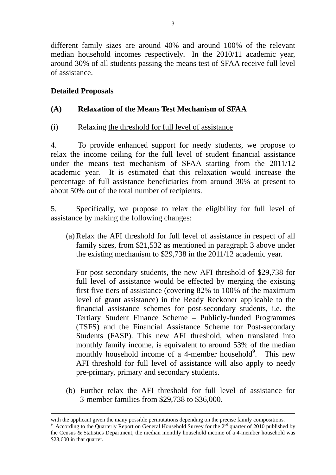different family sizes are around 40% and around 100% of the relevant median household incomes respectively**.** In the 2010/11 academic year, around 30% of all students passing the means test of SFAA receive full level of assistance.

# **Detailed Proposals**

# **(A) Relaxation of the Means Test Mechanism of SFAA**

(i) Relaxing the threshold for full level of assistance

4. To provide enhanced support for needy students, we propose to relax the income ceiling for the full level of student financial assistance under the means test mechanism of SFAA starting from the 2011/12 academic year. It is estimated that this relaxation would increase the percentage of full assistance beneficiaries from around 30% at present to about 50% out of the total number of recipients.

5. Specifically, we propose to relax the eligibility for full level of assistance by making the following changes:

 (a) Relax the AFI threshold for full level of assistance in respect of all family sizes, from \$21,532 as mentioned in paragraph 3 above under the existing mechanism to \$29,738 in the 2011/12 academic year.

 For post-secondary students, the new AFI threshold of \$29,738 for full level of assistance would be effected by merging the existing first five tiers of assistance (covering 82% to 100% of the maximum level of grant assistance) in the Ready Reckoner applicable to the financial assistance schemes for post-secondary students, i.e. the Tertiary Student Finance Scheme – Publicly-funded Programmes (TSFS) and the Financial Assistance Scheme for Post-secondary Students (FASP). This new AFI threshold, when translated into monthly family income, is equivalent to around 53% of the median monthly household income of a 4-member household<sup>9</sup>. This new AFI threshold for full level of assistance will also apply to needy pre-primary, primary and secondary students.

 (b) Further relax the AFI threshold for full level of assistance for 3-member families from \$29,738 to \$36,000.

with the applicant given the many possible permutations depending on the precise family compositions.

<sup>9</sup> According to the Quarterly Report on General Household Survey for the  $2<sup>nd</sup>$  quarter of 2010 published by the Census & Statistics Department, the median monthly household income of a 4-member household was \$23,600 in that quarter.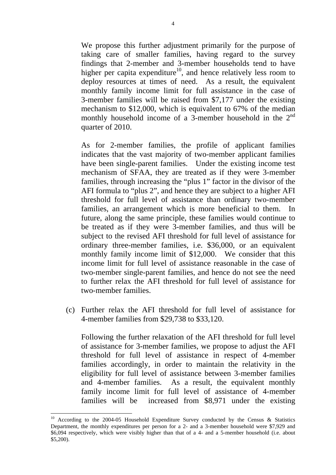We propose this further adjustment primarily for the purpose of taking care of smaller families, having regard to the survey findings that 2-member and 3-member households tend to have higher per capita expenditure<sup>10</sup>, and hence relatively less room to deploy resources at times of need. As a result, the equivalent monthly family income limit for full assistance in the case of 3-member families will be raised from \$7,177 under the existing mechanism to \$12,000, which is equivalent to 67% of the median monthly household income of a 3-member household in the  $2<sup>nd</sup>$ quarter of 2010.

 As for 2-member families, the profile of applicant families indicates that the vast majority of two-member applicant families have been single-parent families. Under the existing income test mechanism of SFAA, they are treated as if they were 3-member families, through increasing the "plus 1" factor in the divisor of the AFI formula to "plus 2", and hence they are subject to a higher AFI threshold for full level of assistance than ordinary two-member families, an arrangement which is more beneficial to them. In future, along the same principle, these families would continue to be treated as if they were 3-member families, and thus will be subject to the revised AFI threshold for full level of assistance for ordinary three-member families, i.e. \$36,000, or an equivalent monthly family income limit of \$12,000. We consider that this income limit for full level of assistance reasonable in the case of two-member single-parent families, and hence do not see the need to further relax the AFI threshold for full level of assistance for two-member families.

(c) Further relax the AFI threshold for full level of assistance for 4-member families from \$29,738 to \$33,120.

 Following the further relaxation of the AFI threshold for full level of assistance for 3-member families, we propose to adjust the AFI threshold for full level of assistance in respect of 4-member families accordingly, in order to maintain the relativity in the eligibility for full level of assistance between 3-member families and 4-member families. As a result, the equivalent monthly family income limit for full level of assistance of 4-member families will be increased from \$8,971 under the existing

1

<sup>&</sup>lt;sup>10</sup> According to the 2004-05 Household Expenditure Survey conducted by the Census & Statistics Department, the monthly expenditures per person for a 2- and a 3-member household were \$7,929 and \$6,094 respectively, which were visibly higher than that of a 4- and a 5-member household (i.e. about \$5,200).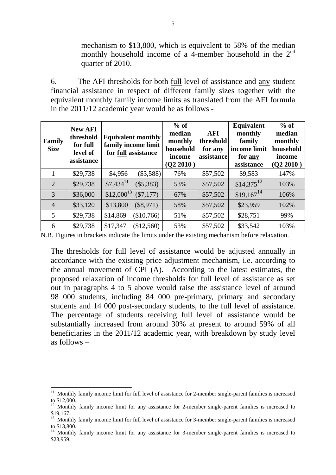mechanism to \$13,800, which is equivalent to 58% of the median monthly household income of a 4-member household in the  $2<sup>nd</sup>$ quarter of 2010.

6. The AFI thresholds for both full level of assistance and any student financial assistance in respect of different family sizes together with the equivalent monthly family income limits as translated from the AFI formula in the 2011/12 academic year would be as follows -

| Family<br><b>Size</b> | <b>New AFI</b><br>threshold<br>for full<br>level of<br>assistance | <b>Equivalent monthly</b><br>family income limit<br>for full assistance | $%$ of<br>median<br>monthly<br>household<br>income<br>(Q2 2010) | AFI<br>threshold<br>for any<br>assistance | Equivalent<br>monthly<br>family<br>income limit<br>for any<br>assistance | $%$ of<br>median<br>monthly<br>household<br>income<br>(Q2 2010) |
|-----------------------|-------------------------------------------------------------------|-------------------------------------------------------------------------|-----------------------------------------------------------------|-------------------------------------------|--------------------------------------------------------------------------|-----------------------------------------------------------------|
|                       | \$29,738                                                          | (S3,588)<br>\$4,956                                                     | 76%                                                             | \$57,502                                  | \$9,583                                                                  | 147%                                                            |
| $\overline{2}$        | \$29,738                                                          | $$7,434$ <sup>11</sup><br>$(\$5,383)$                                   | 53%                                                             | \$57,502                                  | $$14,375$ <sup>12</sup>                                                  | 103%                                                            |
| 3                     | \$36,000                                                          | $$12,000^{13}$<br>$(\$7,177)$                                           | 67%                                                             | \$57,502                                  | $$19,167$ <sup>14</sup>                                                  | 106%                                                            |
| $\overline{4}$        | \$33,120                                                          | \$13,800<br>$(\$8,971)$                                                 | 58%                                                             | \$57,502                                  | \$23,959                                                                 | 102%                                                            |
| 5                     | \$29,738                                                          | \$14,869<br>(\$10,766)                                                  | 51%                                                             | \$57,502                                  | \$28,751                                                                 | 99%                                                             |
| 6                     | \$29,738                                                          | \$17,347<br>(\$12,560)                                                  | 53%                                                             | \$57,502                                  | \$33,542                                                                 | 103%                                                            |

N.B. Figures in brackets indicate the limits under the existing mechanism before relaxation.

The thresholds for full level of assistance would be adjusted annually in accordance with the existing price adjustment mechanism, i.e. according to the annual movement of CPI (A). According to the latest estimates, the proposed relaxation of income thresholds for full level of assistance as set out in paragraphs 4 to 5 above would raise the assistance level of around 98 000 students, including 84 000 pre-primary, primary and secondary students and 14 000 post-secondary students, to the full level of assistance. The percentage of students receiving full level of assistance would be substantially increased from around 30% at present to around 59% of all beneficiaries in the 2011/12 academic year, with breakdown by study level as follows –

1

<sup>&</sup>lt;sup>11</sup> Monthly family income limit for full level of assistance for 2-member single-parent families is increased to \$12,000.

 $12$  Monthly family income limit for any assistance for 2-member single-parent families is increased to \$19,167.

 $13$  Monthly family income limit for full level of assistance for 3-member single-parent families is increased to \$13,800.

<sup>&</sup>lt;sup>14</sup> Monthly family income limit for any assistance for 3-member single-parent families is increased to \$23,959.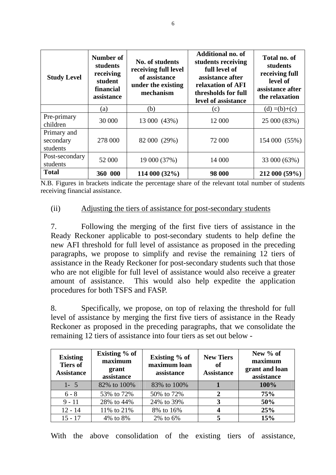| <b>Study Level</b>                   | Number of<br>students<br>receiving<br>student<br>financial<br>assistance | No. of students<br>receiving full level<br>of assistance<br>under the existing<br>mechanism | <b>Additional no. of</b><br>students receiving<br>full level of<br>assistance after<br>relaxation of AFI<br>thresholds for full<br>level of assistance | Total no. of<br>students<br>receiving full<br>level of<br>assistance after<br>the relaxation |  |
|--------------------------------------|--------------------------------------------------------------------------|---------------------------------------------------------------------------------------------|--------------------------------------------------------------------------------------------------------------------------------------------------------|----------------------------------------------------------------------------------------------|--|
|                                      | (a)                                                                      | (b)                                                                                         | (c)                                                                                                                                                    | $(d) = (b)+(c)$                                                                              |  |
| Pre-primary<br>children              | 30 000                                                                   | 13 000 (43%)                                                                                | 12 000                                                                                                                                                 | 25 000 (83%)                                                                                 |  |
| Primary and<br>secondary<br>students | 278 000                                                                  | 82 000 (29%)                                                                                | 72 000                                                                                                                                                 | 154 000 (55%)                                                                                |  |
| Post-secondary<br>students           | 52 000                                                                   | 19 000 (37%)                                                                                | 14 000                                                                                                                                                 | 33 000 (63%)                                                                                 |  |
| <b>Total</b>                         | 360 000                                                                  | 114 000 (32%)                                                                               | 98 000                                                                                                                                                 | 212 000 (59%)                                                                                |  |

N.B. Figures in brackets indicate the percentage share of the relevant total number of students receiving financial assistance.

### (ii) Adjusting the tiers of assistance for post-secondary students

7. Following the merging of the first five tiers of assistance in the Ready Reckoner applicable to post-secondary students to help define the new AFI threshold for full level of assistance as proposed in the preceding paragraphs, we propose to simplify and revise the remaining 12 tiers of assistance in the Ready Reckoner for post-secondary students such that those who are not eligible for full level of assistance would also receive a greater amount of assistance. This would also help expedite the application procedures for both TSFS and FASP.

8. Specifically, we propose, on top of relaxing the threshold for full level of assistance by merging the first five tiers of assistance in the Ready Reckoner as proposed in the preceding paragraphs, that we consolidate the remaining 12 tiers of assistance into four tiers as set out below -

| <b>Existing</b><br><b>Tiers of</b><br><b>Assistance</b> | Existing % of<br>maximum<br>grant<br>assistance | Existing % of<br>maximum loan<br>assistance | <b>New Tiers</b><br><sub>of</sub><br><b>Assistance</b> | New % of<br>maximum<br>grant and loan<br>assistance |
|---------------------------------------------------------|-------------------------------------------------|---------------------------------------------|--------------------------------------------------------|-----------------------------------------------------|
| $1 - 5$                                                 | 82% to 100%                                     | 83% to 100%                                 |                                                        | 100%                                                |
| $6 - 8$                                                 | 53% to 72%                                      | 50% to 72%                                  | າ                                                      | 75%                                                 |
| $9 - 11$                                                | 28% to 44%                                      | 24% to 39%                                  | 3                                                      | 50%                                                 |
| $12 - 14$                                               | 11% to 21%                                      | 8% to 16%                                   |                                                        | 25%                                                 |
| $15 - 17$                                               | 4\% to 8\%                                      | 2% to 6%                                    |                                                        | 15%                                                 |

With the above consolidation of the existing tiers of assistance,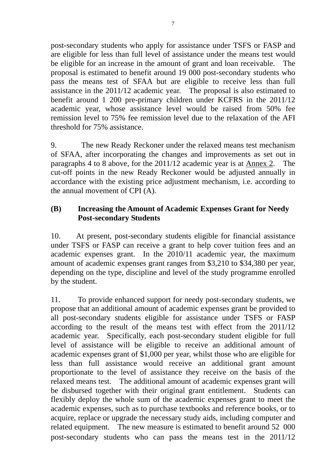post-secondary students who apply for assistance under TSFS or FASP and are eligible for less than full level of assistance under the means test would be eligible for an increase in the amount of grant and loan receivable. The proposal is estimated to benefit around 19 000 post-secondary students who pass the means test of SFAA but are eligible to receive less than full assistance in the 2011/12 academic year. The proposal is also estimated to benefit around 1 200 pre-primary children under KCFRS in the 2011/12 academic year, whose assistance level would be raised from 50% fee remission level to 75% fee remission level due to the relaxation of the AFI threshold for 75% assistance.

9. The new Ready Reckoner under the relaxed means test mechanism of SFAA, after incorporating the changes and improvements as set out in paragraphs 4 to 8 above, for the 2011/12 academic year is at Annex 2. The cut-off points in the new Ready Reckoner would be adjusted annually in accordance with the existing price adjustment mechanism, i.e. according to the annual movement of CPI (A).

### **(B) Increasing the Amount of Academic Expenses Grant for Needy Post-secondary Students**

10. At present, post-secondary students eligible for financial assistance under TSFS or FASP can receive a grant to help cover tuition fees and an academic expenses grant. In the 2010/11 academic year, the maximum amount of academic expenses grant ranges from \$3,210 to \$34,380 per year, depending on the type, discipline and level of the study programme enrolled by the student.

11. To provide enhanced support for needy post-secondary students, we propose that an additional amount of academic expenses grant be provided to all post-secondary students eligible for assistance under TSFS or FASP according to the result of the means test with effect from the 2011/12 academic year. Specifically, each post-secondary student eligible for full level of assistance will be eligible to receive an additional amount of academic expenses grant of \$1,000 per year, whilst those who are eligible for less than full assistance would receive an additional grant amount proportionate to the level of assistance they receive on the basis of the relaxed means test. The additional amount of academic expenses grant will be disbursed together with their original grant entitlement. Students can flexibly deploy the whole sum of the academic expenses grant to meet the academic expenses, such as to purchase textbooks and reference books, or to acquire, replace or upgrade the necessary study aids, including computer and related equipment. The new measure is estimated to benefit around 52 000 post-secondary students who can pass the means test in the 2011/12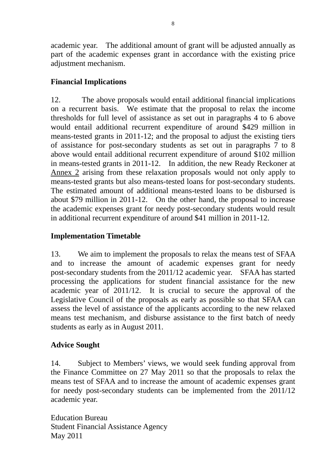academic year. The additional amount of grant will be adjusted annually as part of the academic expenses grant in accordance with the existing price adjustment mechanism.

# **Financial Implications**

12. The above proposals would entail additional financial implications on a recurrent basis. We estimate that the proposal to relax the income thresholds for full level of assistance as set out in paragraphs 4 to 6 above would entail additional recurrent expenditure of around \$429 million in means-tested grants in 2011-12; and the proposal to adjust the existing tiers of assistance for post-secondary students as set out in paragraphs 7 to 8 above would entail additional recurrent expenditure of around \$102 million in means-tested grants in 2011-12. In addition, the new Ready Reckoner at Annex 2 arising from these relaxation proposals would not only apply to means-tested grants but also means-tested loans for post-secondary students. The estimated amount of additional means-tested loans to be disbursed is about \$79 million in 2011-12. On the other hand, the proposal to increase the academic expenses grant for needy post-secondary students would result in additional recurrent expenditure of around \$41 million in 2011-12.

# **Implementation Timetable**

13. We aim to implement the proposals to relax the means test of SFAA and to increase the amount of academic expenses grant for needy post-secondary students from the 2011/12 academic year. SFAA has started processing the applications for student financial assistance for the new academic year of 2011/12. It is crucial to secure the approval of the Legislative Council of the proposals as early as possible so that SFAA can assess the level of assistance of the applicants according to the new relaxed means test mechanism, and disburse assistance to the first batch of needy students as early as in August 2011.

# **Advice Sought**

14. Subject to Members' views, we would seek funding approval from the Finance Committee on 27 May 2011 so that the proposals to relax the means test of SFAA and to increase the amount of academic expenses grant for needy post-secondary students can be implemented from the 2011/12 academic year.

Education Bureau Student Financial Assistance Agency May 2011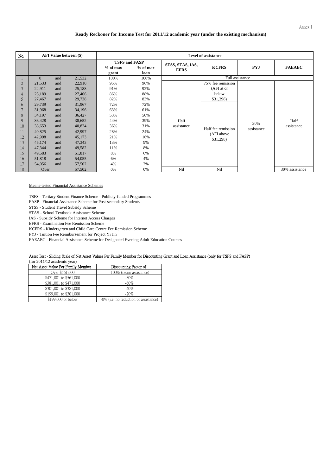#### **Ready Reckoner for Income Test for 2011/12 academic year (under the existing mechanism)**

| No.            | <b>AFI Value between (\$)</b> |     |        |                      |            |                  | <b>Level of assistance</b> |                   |                |
|----------------|-------------------------------|-----|--------|----------------------|------------|------------------|----------------------------|-------------------|----------------|
|                |                               |     |        | <b>TSFS and FASP</b> |            | STSS, STAS, IAS, |                            |                   |                |
|                |                               |     |        | $%$ of max           | $%$ of max | <b>EFRS</b>      | <b>KCFRS</b>               | <b>PYJ</b>        | <b>FAEAEC</b>  |
|                |                               |     |        | grant                | loan       |                  |                            |                   |                |
|                | $\mathbf{0}$                  | and | 21,532 | 100%                 | 100%       |                  |                            | Full assistance   |                |
| $\overline{2}$ | 21,533                        | and | 22,910 | 95%                  | 96%        |                  | 75% fee remission          |                   |                |
| 3              | 22,911                        | and | 25,188 | 91%                  | 92%        |                  | (AFI at or                 |                   |                |
| 4              | 25,189                        | and | 27,466 | 86%                  | 88%        |                  | below                      |                   |                |
| 5              | 27,467                        | and | 29,738 | 82%                  | 83%        |                  | \$31,298)                  |                   |                |
| 6              | 29,739                        | and | 31,967 | 72%                  | 72%        |                  |                            |                   |                |
|                | 31,968                        | and | 34,196 | 63%                  | 61%        |                  | Half fee remission         | 30%<br>assistance |                |
| 8              | 34,197                        | and | 36,427 | 53%                  | 50%        |                  |                            |                   |                |
| 9              | 36,428                        | and | 38,652 | 44%                  | 39%        | Half             |                            |                   | Half           |
| 10             | 38,653                        | and | 40,824 | 36%                  | 31%        | assistance       |                            |                   | assistance     |
| 11             | 40,825                        | and | 42,997 | 28%                  | 24%        |                  | (AFI above                 |                   |                |
| 12             | 42,998                        | and | 45,173 | 21%                  | 16%        |                  | \$31,298)                  |                   |                |
| 13             | 45,174                        | and | 47,343 | 13%                  | 9%         |                  |                            |                   |                |
| 14             | 47,344                        | and | 49,582 | 11%                  | 8%         |                  |                            |                   |                |
| 15             | 49,583                        | and | 51,817 | 8%                   | 6%         |                  |                            |                   |                |
| 16             | 51,818                        | and | 54,055 | 6%                   | 4%         |                  |                            |                   |                |
| 17             | 54,056                        | and | 57,502 | 4%                   | 2%         |                  |                            |                   |                |
| 18             | Over                          |     | 57,502 | 0%                   | 0%         | Nil              | Nil                        |                   | 30% assistance |

#### Means-tested Financial Assistance Schemes

TSFS - Tertiary Student Finance Scheme - Publicly-funded Programmes

FASP - Financial Assistance Scheme for Post-secondary Students

STSS - Student Travel Subsidy Scheme

STAS - School Textbook Assistance Scheme

IAS - Subsidy Scheme for Internet Access Charges

EFRS - Examination Fee Remission Scheme

KCFRS - Kindergarten and Child Care Centre Fee Remission Scheme

PYJ - Tuition Fee Reimbursement for Project Yi Jin

FAEAEC - Financial Assistance Scheme for Designated Evening Adult Education Courses

#### Asset Test - Sliding Scale of Net Asset Values Per Family Member for Discounting Grant and Loan Assistance (only for TSFS and FASP)

(for 2011/12 academic year)

| Net Asset Value Per Family Member | Discounting Factor of                    |
|-----------------------------------|------------------------------------------|
| Over \$561,000                    | $-100\%$ (i.e.no assistance)             |
| \$471,001 to \$561,000            | $-80\%$                                  |
| \$381,001 to \$471,000            | $-60%$                                   |
| \$301,001 to \$381,000            | $-40%$                                   |
| \$199,001 to \$301,000            | $-20%$                                   |
| \$199,000 or below                | $-0\%$ (i.e. no reduction of assistance) |